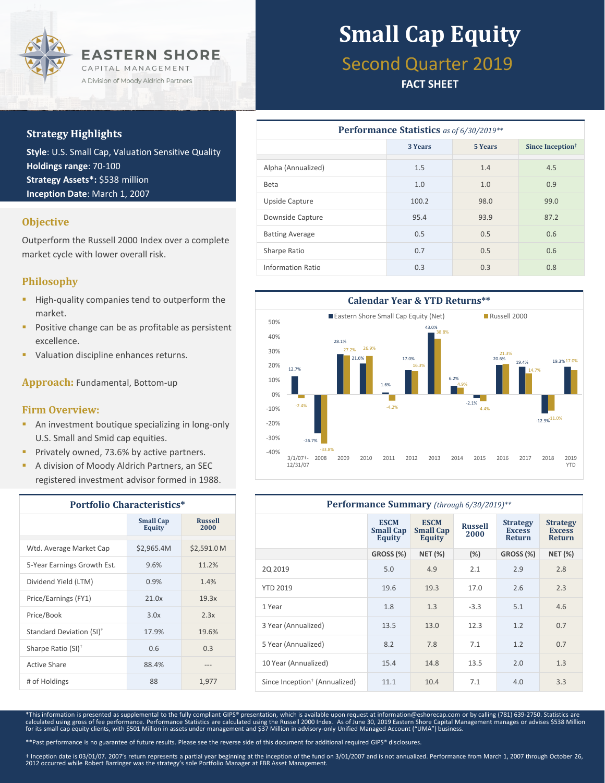

### **Strategy Highlights**

**Style**: U.S. Small Cap, Valuation Sensitive Quality **Holdings range**: 70-100 **Strategy Assets\*:** \$538 million **Inception Date**: March 1, 2007

### **Objective**

Outperform the Russell 2000 Index over a complete market cycle with lower overall risk.

### **Philosophy**

- High-quality companies tend to outperform the market.
- Positive change can be as profitable as persistent excellence.
- Valuation discipline enhances returns.

**Approach:** Fundamental, Bottom-up

#### **Firm Overview:**

- **An investment boutique specializing in long-only** U.S. Small and Smid cap equities.
- **Privately owned, 73.6% by active partners.**
- A division of Moody Aldrich Partners, an SEC registered investment advisor formed in 1988.

| <b>Portfolio Characteristics*</b>    |                            |                        |  |  |  |
|--------------------------------------|----------------------------|------------------------|--|--|--|
|                                      | <b>Small Cap</b><br>Equity | <b>Russell</b><br>2000 |  |  |  |
| Wtd. Average Market Cap              | \$2,965.4M                 | \$2,591.0 M            |  |  |  |
| 5-Year Earnings Growth Est.          | 9.6%                       | 11.2%                  |  |  |  |
| Dividend Yield (LTM)                 | 0.9%                       | 1.4%                   |  |  |  |
| Price/Earnings (FY1)                 | 21.0x                      | 19.3x                  |  |  |  |
| Price/Book                           | 3.0x                       | 2.3x                   |  |  |  |
| Standard Deviation (SI) <sup>†</sup> | 17.9%                      | 19.6%                  |  |  |  |
| Sharpe Ratio (SI) <sup>+</sup>       | 0.6                        | 0.3                    |  |  |  |
| Active Share                         | 88.4%                      |                        |  |  |  |
| # of Holdings                        | 88                         | 1,977                  |  |  |  |

# **Small Cap Equity**

# Second Quarter 2019

### **FACT SHEET**

| <b>Performance Statistics</b> as of 6/30/2019** |                    |      |                              |  |  |  |  |
|-------------------------------------------------|--------------------|------|------------------------------|--|--|--|--|
|                                                 | 3 Years<br>5 Years |      | Since Inception <sup>†</sup> |  |  |  |  |
| Alpha (Annualized)                              | 1.5                | 1.4  | 4.5                          |  |  |  |  |
| <b>Beta</b>                                     | 1.0                | 1.0  | 0.9                          |  |  |  |  |
| Upside Capture                                  | 100.2              | 98.0 | 99.0                         |  |  |  |  |
| Downside Capture                                | 95.4               | 93.9 | 87.2                         |  |  |  |  |
| <b>Batting Average</b>                          | 0.5                | 0.5  | 0.6                          |  |  |  |  |
| Sharpe Ratio                                    | 0.7                | 0.5  | 0.6                          |  |  |  |  |
| Information Ratio                               | 0.3                | 0.3  | 0.8                          |  |  |  |  |



| Performance Summary (through 6/30/2019)** |                                                  |                                                  |                        |                                                   |                                                   |  |  |
|-------------------------------------------|--------------------------------------------------|--------------------------------------------------|------------------------|---------------------------------------------------|---------------------------------------------------|--|--|
|                                           | <b>ESCM</b><br><b>Small Cap</b><br><b>Equity</b> | <b>ESCM</b><br><b>Small Cap</b><br><b>Equity</b> | <b>Russell</b><br>2000 | <b>Strategy</b><br><b>Excess</b><br><b>Return</b> | <b>Strategy</b><br><b>Excess</b><br><b>Return</b> |  |  |
|                                           | <b>GROSS (%)</b>                                 | <b>NET (%)</b>                                   | $(\%)$                 | GROSS (%)                                         | <b>NET (%)</b>                                    |  |  |
| 20 20 19                                  | 5.0                                              | 4.9                                              | 2.1                    | 2.9                                               | 2.8                                               |  |  |
| <b>YTD 2019</b>                           | 19.6                                             | 19.3                                             | 17.0                   | 2.6                                               | 2.3                                               |  |  |
| 1 Year                                    | 1.8                                              | 1.3                                              | $-3.3$                 | 5.1                                               | 4.6                                               |  |  |
| 3 Year (Annualized)                       | 13.5                                             | 13.0                                             | 12.3                   | 1.2                                               | 0.7                                               |  |  |
| 5 Year (Annualized)                       | 8.2                                              | 7.8                                              | 7.1                    | 1.2                                               | 0.7                                               |  |  |
| 10 Year (Annualized)                      | 15.4                                             | 14.8                                             | 13.5                   | 2.0                                               | 1.3                                               |  |  |
| Since Inception <sup>†</sup> (Annualized) | 11.1                                             | 10.4                                             | 7.1                    | 4.0                                               | 3.3                                               |  |  |

\*This information is presented as supplemental to the fully compliant GIPS® presentation, which is available upon request at information@eshorecap.com or by calling (781) 639-2750. Statistics are<br>calculated using gross of

\*\*Past performance is no guarantee of future results. Please see the reverse side of this document for additional required GIPS® disclosures.

† Inception date is 03/01/07. 2007's return represents a partial year beginning at the inception of the fund on 3/01/2007 and is not annualized. Performance from March 1, 2007 through October 26,<br>2012 occurred while Robert